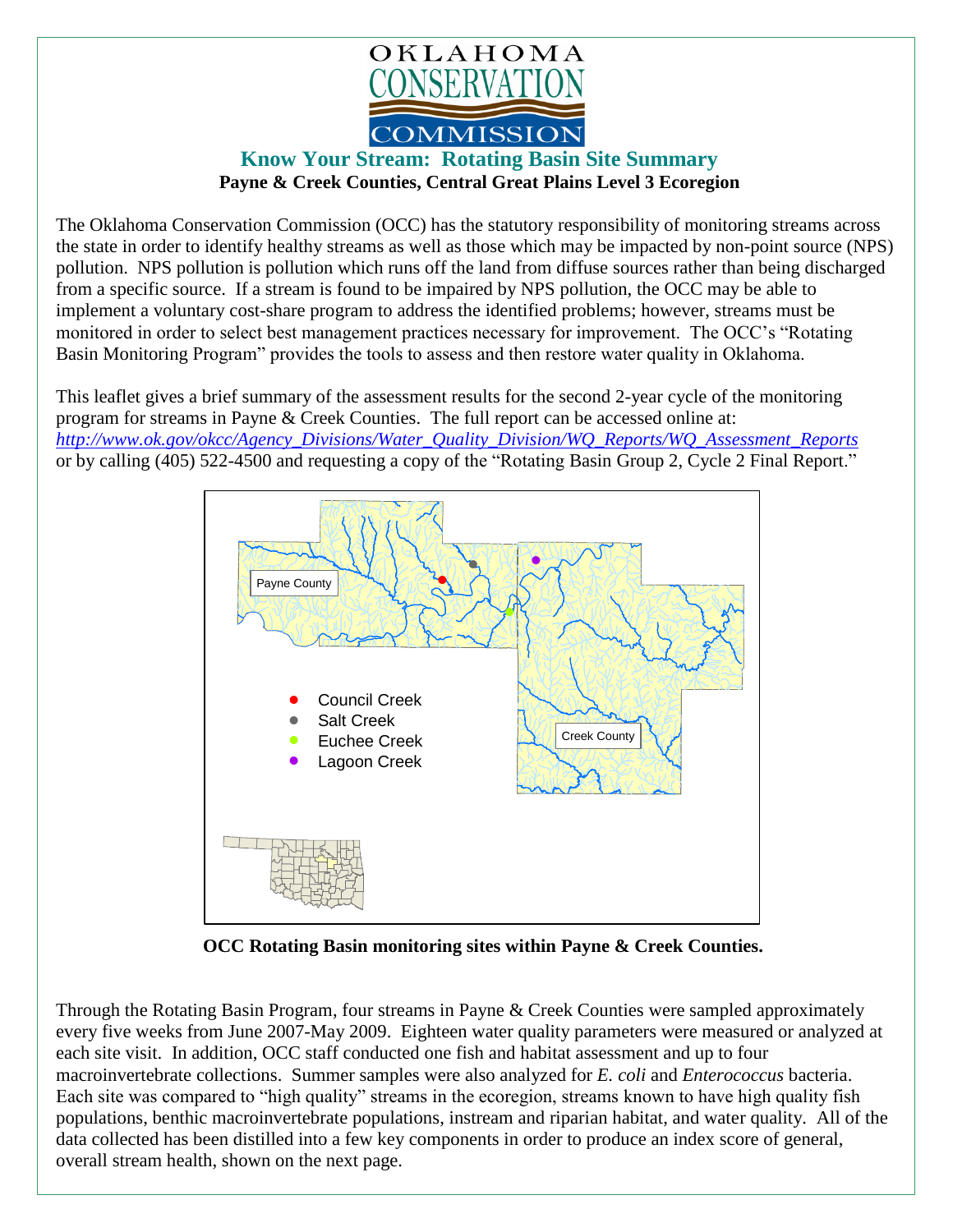

## **Know Your Stream: Rotating Basin Site Summary Payne & Creek Counties, Central Great Plains Level 3 Ecoregion**

The Oklahoma Conservation Commission (OCC) has the statutory responsibility of monitoring streams across the state in order to identify healthy streams as well as those which may be impacted by non-point source (NPS) pollution. NPS pollution is pollution which runs off the land from diffuse sources rather than being discharged from a specific source. If a stream is found to be impaired by NPS pollution, the OCC may be able to implement a voluntary cost-share program to address the identified problems; however, streams must be monitored in order to select best management practices necessary for improvement. The OCC's "Rotating Basin Monitoring Program" provides the tools to assess and then restore water quality in Oklahoma.

This leaflet gives a brief summary of the assessment results for the second 2-year cycle of the monitoring program for streams in Payne & Creek Counties. The full report can be accessed online at: *[http://www.ok.gov/okcc/Agency\\_Divisions/Water\\_Quality\\_Division/WQ\\_Reports/WQ\\_Assessment\\_Reports](http://www.ok.gov/okcc/Agency_Divisions/Water_Quality_Division/WQ_Reports/WQ_Assessment_Reports)* or by calling (405) 522-4500 and requesting a copy of the "Rotating Basin Group 2, Cycle 2 Final Report."



**OCC Rotating Basin monitoring sites within Payne & Creek Counties.**

Through the Rotating Basin Program, four streams in Payne & Creek Counties were sampled approximately every five weeks from June 2007-May 2009. Eighteen water quality parameters were measured or analyzed at each site visit. In addition, OCC staff conducted one fish and habitat assessment and up to four macroinvertebrate collections. Summer samples were also analyzed for *E. coli* and *Enterococcus* bacteria. Each site was compared to "high quality" streams in the ecoregion, streams known to have high quality fish populations, benthic macroinvertebrate populations, instream and riparian habitat, and water quality. All of the data collected has been distilled into a few key components in order to produce an index score of general, overall stream health, shown on the next page.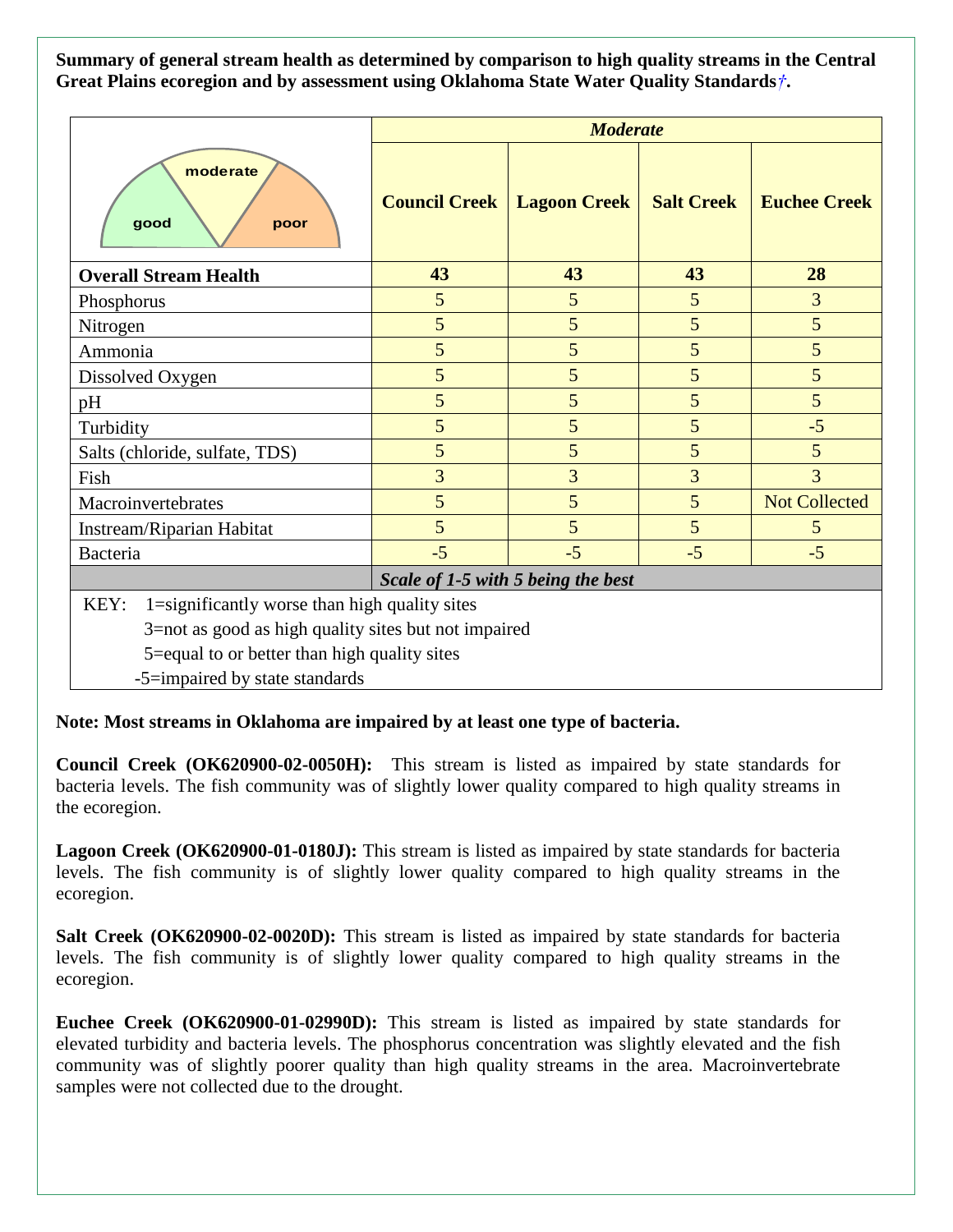**Summary of general stream health as determined by comparison to high quality streams in the Central Great Plains ecoregion and by assessment using Oklahoma State Water Quality Standards***†***.**

|                                                       | <b>Moderate</b>      |                     |                   |                      |
|-------------------------------------------------------|----------------------|---------------------|-------------------|----------------------|
| moderate<br>good<br>poor                              | <b>Council Creek</b> | <b>Lagoon Creek</b> | <b>Salt Creek</b> | <b>Euchee Creek</b>  |
| <b>Overall Stream Health</b>                          | 43                   | 43                  | 43                | 28                   |
| Phosphorus                                            | 5                    | 5                   | 5                 | 3                    |
| Nitrogen                                              | 5                    | 5                   | 5                 | 5                    |
| Ammonia                                               | 5                    | 5                   | 5                 | 5                    |
| Dissolved Oxygen                                      | 5                    | 5                   | 5                 | 5                    |
| pH                                                    | 5                    | 5                   | 5                 | 5                    |
| Turbidity                                             | 5                    | 5                   | 5                 | $-5$                 |
| Salts (chloride, sulfate, TDS)                        | 5                    | 5                   | 5                 | 5                    |
| Fish                                                  | 3                    | 3                   | 3                 | $\overline{3}$       |
| Macroinvertebrates                                    | 5                    | 5                   | 5                 | <b>Not Collected</b> |
| Instream/Riparian Habitat                             | 5                    | 5                   | 5                 | 5                    |
| Bacteria                                              | $-5$                 | $-5$                | $-5$              | $-5$                 |
| Scale of 1-5 with 5 being the best                    |                      |                     |                   |                      |
| 1=significantly worse than high quality sites<br>KEY: |                      |                     |                   |                      |
| 3=not as good as high quality sites but not impaired  |                      |                     |                   |                      |
| 5=equal to or better than high quality sites          |                      |                     |                   |                      |

-5=impaired by state standards

**Note: Most streams in Oklahoma are impaired by at least one type of bacteria.**

**Council Creek (OK620900-02-0050H):** This stream is listed as impaired by state standards for bacteria levels. The fish community was of slightly lower quality compared to high quality streams in the ecoregion.

**Lagoon Creek (OK620900-01-0180J):** This stream is listed as impaired by state standards for bacteria levels. The fish community is of slightly lower quality compared to high quality streams in the ecoregion.

**Salt Creek (OK620900-02-0020D):** This stream is listed as impaired by state standards for bacteria levels. The fish community is of slightly lower quality compared to high quality streams in the ecoregion.

**Euchee Creek (OK620900-01-02990D):** This stream is listed as impaired by state standards for elevated turbidity and bacteria levels. The phosphorus concentration was slightly elevated and the fish community was of slightly poorer quality than high quality streams in the area. Macroinvertebrate samples were not collected due to the drought.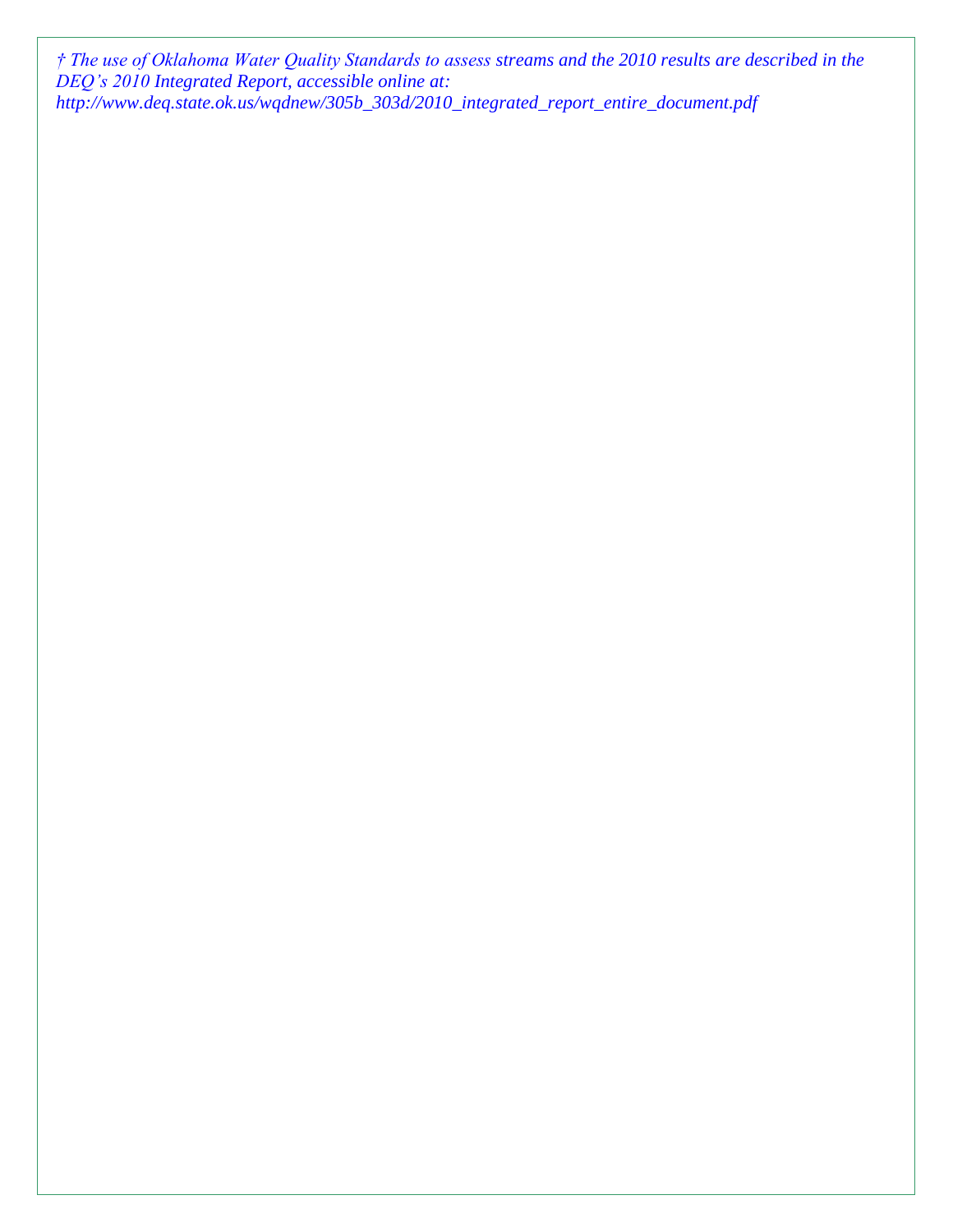*† The use of Oklahoma Water Quality Standards to assess streams and the 2010 results are described in the DEQ's 2010 Integrated Report, accessible online at: http://www.deq.state.ok.us/wqdnew/305b\_303d/2010\_integrated\_report\_entire\_document.pdf*